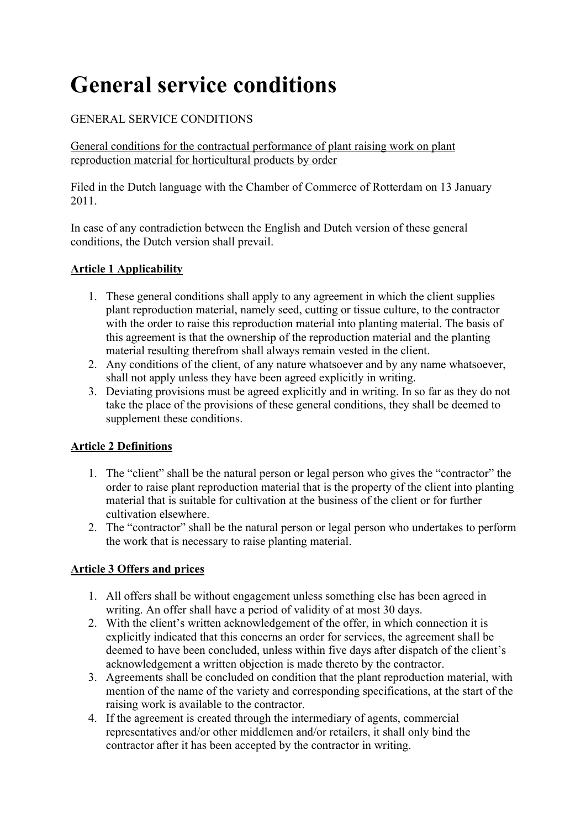# **General service conditions**

# GENERAL SERVICE CONDITIONS

General conditions for the contractual performance of plant raising work on plant reproduction material for horticultural products by order

Filed in the Dutch language with the Chamber of Commerce of Rotterdam on 13 January 2011.

In case of any contradiction between the English and Dutch version of these general conditions, the Dutch version shall prevail.

## **Article 1 Applicability**

- 1. These general conditions shall apply to any agreement in which the client supplies plant reproduction material, namely seed, cutting or tissue culture, to the contractor with the order to raise this reproduction material into planting material. The basis of this agreement is that the ownership of the reproduction material and the planting material resulting therefrom shall always remain vested in the client.
- 2. Any conditions of the client, of any nature whatsoever and by any name whatsoever, shall not apply unless they have been agreed explicitly in writing.
- 3. Deviating provisions must be agreed explicitly and in writing. In so far as they do not take the place of the provisions of these general conditions, they shall be deemed to supplement these conditions.

# **Article 2 Definitions**

- 1. The "client" shall be the natural person or legal person who gives the "contractor" the order to raise plant reproduction material that is the property of the client into planting material that is suitable for cultivation at the business of the client or for further cultivation elsewhere.
- 2. The "contractor" shall be the natural person or legal person who undertakes to perform the work that is necessary to raise planting material.

# **Article 3 Offers and prices**

- 1. All offers shall be without engagement unless something else has been agreed in writing. An offer shall have a period of validity of at most 30 days.
- 2. With the client's written acknowledgement of the offer, in which connection it is explicitly indicated that this concerns an order for services, the agreement shall be deemed to have been concluded, unless within five days after dispatch of the client's acknowledgement a written objection is made thereto by the contractor.
- 3. Agreements shall be concluded on condition that the plant reproduction material, with mention of the name of the variety and corresponding specifications, at the start of the raising work is available to the contractor.
- 4. If the agreement is created through the intermediary of agents, commercial representatives and/or other middlemen and/or retailers, it shall only bind the contractor after it has been accepted by the contractor in writing.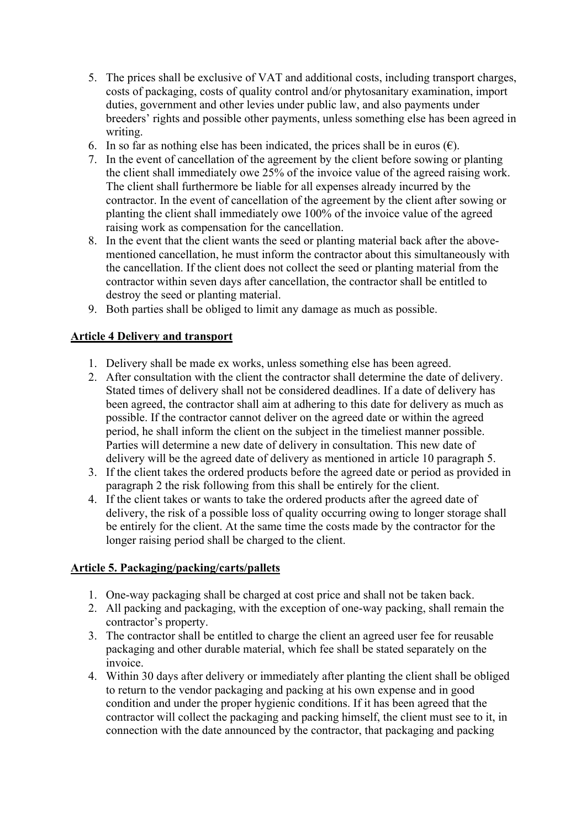- 5. The prices shall be exclusive of VAT and additional costs, including transport charges, costs of packaging, costs of quality control and/or phytosanitary examination, import duties, government and other levies under public law, and also payments under breeders' rights and possible other payments, unless something else has been agreed in writing.
- 6. In so far as nothing else has been indicated, the prices shall be in euros  $(\epsilon)$ .
- 7. In the event of cancellation of the agreement by the client before sowing or planting the client shall immediately owe 25% of the invoice value of the agreed raising work. The client shall furthermore be liable for all expenses already incurred by the contractor. In the event of cancellation of the agreement by the client after sowing or planting the client shall immediately owe 100% of the invoice value of the agreed raising work as compensation for the cancellation.
- 8. In the event that the client wants the seed or planting material back after the abovementioned cancellation, he must inform the contractor about this simultaneously with the cancellation. If the client does not collect the seed or planting material from the contractor within seven days after cancellation, the contractor shall be entitled to destroy the seed or planting material.
- 9. Both parties shall be obliged to limit any damage as much as possible.

## **Article 4 Delivery and transport**

- 1. Delivery shall be made ex works, unless something else has been agreed.
- 2. After consultation with the client the contractor shall determine the date of delivery. Stated times of delivery shall not be considered deadlines. If a date of delivery has been agreed, the contractor shall aim at adhering to this date for delivery as much as possible. If the contractor cannot deliver on the agreed date or within the agreed period, he shall inform the client on the subject in the timeliest manner possible. Parties will determine a new date of delivery in consultation. This new date of delivery will be the agreed date of delivery as mentioned in article 10 paragraph 5.
- 3. If the client takes the ordered products before the agreed date or period as provided in paragraph 2 the risk following from this shall be entirely for the client.
- 4. If the client takes or wants to take the ordered products after the agreed date of delivery, the risk of a possible loss of quality occurring owing to longer storage shall be entirely for the client. At the same time the costs made by the contractor for the longer raising period shall be charged to the client.

#### **Article 5. Packaging/packing/carts/pallets**

- 1. One-way packaging shall be charged at cost price and shall not be taken back.
- 2. All packing and packaging, with the exception of one-way packing, shall remain the contractor's property.
- 3. The contractor shall be entitled to charge the client an agreed user fee for reusable packaging and other durable material, which fee shall be stated separately on the invoice.
- 4. Within 30 days after delivery or immediately after planting the client shall be obliged to return to the vendor packaging and packing at his own expense and in good condition and under the proper hygienic conditions. If it has been agreed that the contractor will collect the packaging and packing himself, the client must see to it, in connection with the date announced by the contractor, that packaging and packing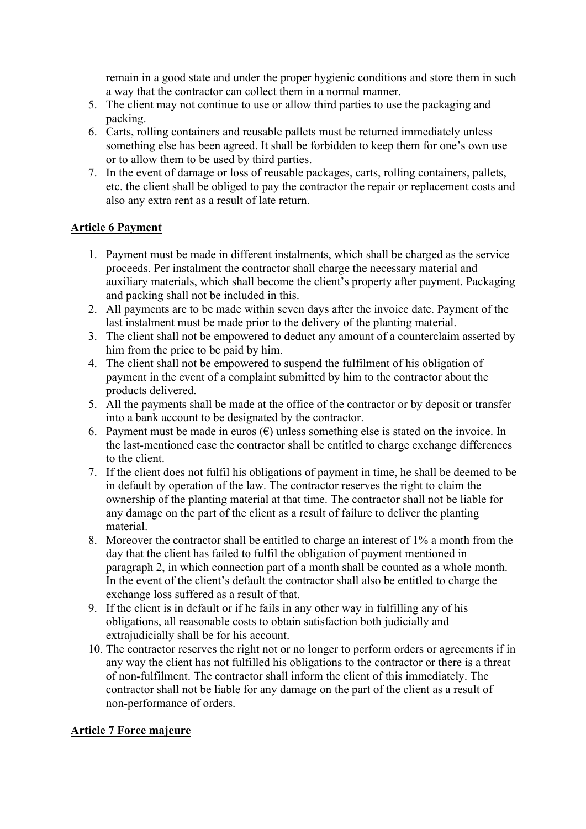remain in a good state and under the proper hygienic conditions and store them in such a way that the contractor can collect them in a normal manner.

- 5. The client may not continue to use or allow third parties to use the packaging and packing.
- 6. Carts, rolling containers and reusable pallets must be returned immediately unless something else has been agreed. It shall be forbidden to keep them for one's own use or to allow them to be used by third parties.
- 7. In the event of damage or loss of reusable packages, carts, rolling containers, pallets, etc. the client shall be obliged to pay the contractor the repair or replacement costs and also any extra rent as a result of late return.

#### **Article 6 Payment**

- 1. Payment must be made in different instalments, which shall be charged as the service proceeds. Per instalment the contractor shall charge the necessary material and auxiliary materials, which shall become the client's property after payment. Packaging and packing shall not be included in this.
- 2. All payments are to be made within seven days after the invoice date. Payment of the last instalment must be made prior to the delivery of the planting material.
- 3. The client shall not be empowered to deduct any amount of a counterclaim asserted by him from the price to be paid by him.
- 4. The client shall not be empowered to suspend the fulfilment of his obligation of payment in the event of a complaint submitted by him to the contractor about the products delivered.
- 5. All the payments shall be made at the office of the contractor or by deposit or transfer into a bank account to be designated by the contractor.
- 6. Payment must be made in euros  $(\epsilon)$  unless something else is stated on the invoice. In the last-mentioned case the contractor shall be entitled to charge exchange differences to the client.
- 7. If the client does not fulfil his obligations of payment in time, he shall be deemed to be in default by operation of the law. The contractor reserves the right to claim the ownership of the planting material at that time. The contractor shall not be liable for any damage on the part of the client as a result of failure to deliver the planting material.
- 8. Moreover the contractor shall be entitled to charge an interest of 1% a month from the day that the client has failed to fulfil the obligation of payment mentioned in paragraph 2, in which connection part of a month shall be counted as a whole month. In the event of the client's default the contractor shall also be entitled to charge the exchange loss suffered as a result of that.
- 9. If the client is in default or if he fails in any other way in fulfilling any of his obligations, all reasonable costs to obtain satisfaction both judicially and extrajudicially shall be for his account.
- 10. The contractor reserves the right not or no longer to perform orders or agreements if in any way the client has not fulfilled his obligations to the contractor or there is a threat of non-fulfilment. The contractor shall inform the client of this immediately. The contractor shall not be liable for any damage on the part of the client as a result of non-performance of orders.

#### **Article 7 Force majeure**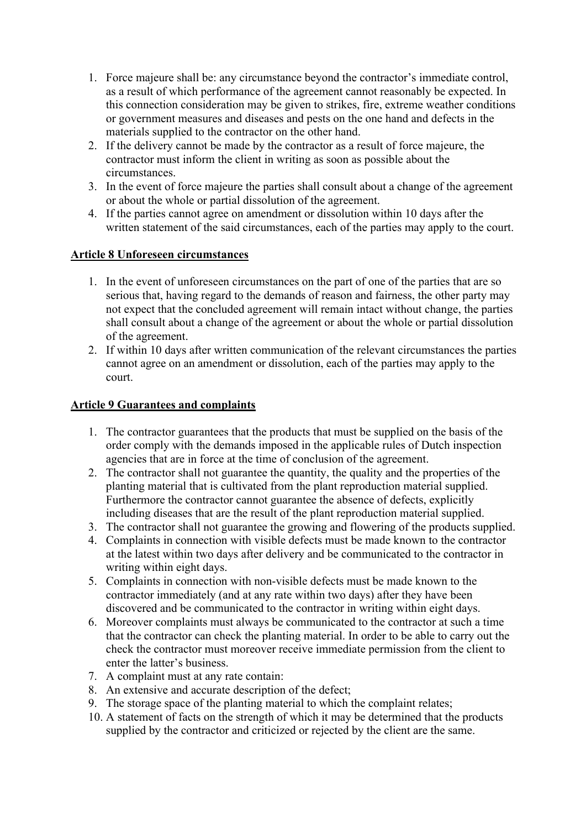- 1. Force majeure shall be: any circumstance beyond the contractor's immediate control, as a result of which performance of the agreement cannot reasonably be expected. In this connection consideration may be given to strikes, fire, extreme weather conditions or government measures and diseases and pests on the one hand and defects in the materials supplied to the contractor on the other hand.
- 2. If the delivery cannot be made by the contractor as a result of force majeure, the contractor must inform the client in writing as soon as possible about the circumstances.
- 3. In the event of force majeure the parties shall consult about a change of the agreement or about the whole or partial dissolution of the agreement.
- 4. If the parties cannot agree on amendment or dissolution within 10 days after the written statement of the said circumstances, each of the parties may apply to the court.

#### **Article 8 Unforeseen circumstances**

- 1. In the event of unforeseen circumstances on the part of one of the parties that are so serious that, having regard to the demands of reason and fairness, the other party may not expect that the concluded agreement will remain intact without change, the parties shall consult about a change of the agreement or about the whole or partial dissolution of the agreement.
- 2. If within 10 days after written communication of the relevant circumstances the parties cannot agree on an amendment or dissolution, each of the parties may apply to the court.

#### **Article 9 Guarantees and complaints**

- 1. The contractor guarantees that the products that must be supplied on the basis of the order comply with the demands imposed in the applicable rules of Dutch inspection agencies that are in force at the time of conclusion of the agreement.
- 2. The contractor shall not guarantee the quantity, the quality and the properties of the planting material that is cultivated from the plant reproduction material supplied. Furthermore the contractor cannot guarantee the absence of defects, explicitly including diseases that are the result of the plant reproduction material supplied.
- 3. The contractor shall not guarantee the growing and flowering of the products supplied.
- 4. Complaints in connection with visible defects must be made known to the contractor at the latest within two days after delivery and be communicated to the contractor in writing within eight days.
- 5. Complaints in connection with non-visible defects must be made known to the contractor immediately (and at any rate within two days) after they have been discovered and be communicated to the contractor in writing within eight days.
- 6. Moreover complaints must always be communicated to the contractor at such a time that the contractor can check the planting material. In order to be able to carry out the check the contractor must moreover receive immediate permission from the client to enter the latter's business.
- 7. A complaint must at any rate contain:
- 8. An extensive and accurate description of the defect;
- 9. The storage space of the planting material to which the complaint relates;
- 10. A statement of facts on the strength of which it may be determined that the products supplied by the contractor and criticized or rejected by the client are the same.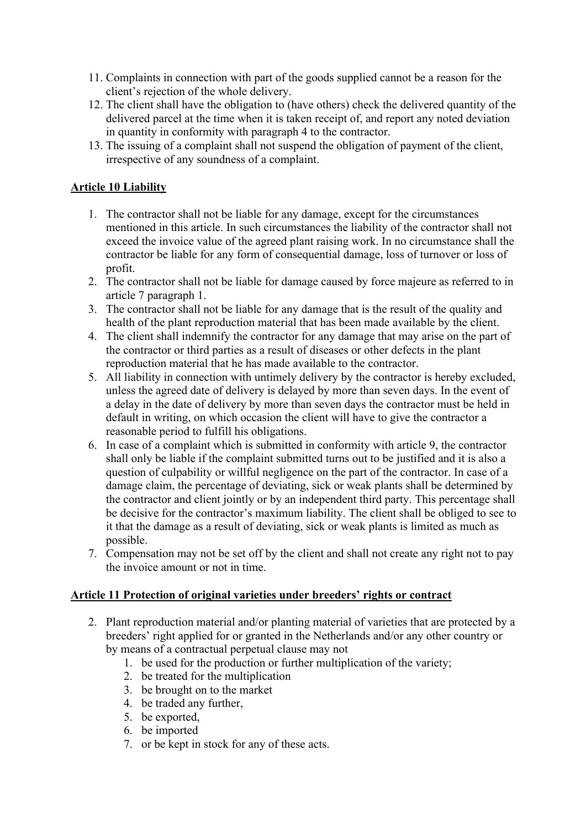- 11. Complaints in connection with part of the goods supplied cannot be a reason for the client's rejection of the whole delivery.
- 12. The client shall have the obligation to (have others) check the delivered quantity of the delivered parcel at the time when it is taken receipt of, and report any noted deviation in quantity in conformity with paragraph 4 to the contractor.
- 13. The issuing of a complaint shall not suspend the obligation of payment of the client, irrespective of any soundness of a complaint.

## **Article 10 Liability**

- 1. The contractor shall not be liable for any damage, except for the circumstances mentioned in this article. In such circumstances the liability of the contractor shall not exceed the invoice value of the agreed plant raising work. In no circumstance shall the contractor be liable for any form of consequential damage, loss of turnover or loss of profit.
- 2. The contractor shall not be liable for damage caused by force majeure as referred to in article 7 paragraph 1.
- 3. The contractor shall not be liable for any damage that is the result of the quality and health of the plant reproduction material that has been made available by the client.
- 4. The client shall indemnify the contractor for any damage that may arise on the part of the contractor or third parties as a result of diseases or other defects in the plant reproduction material that he has made available to the contractor.
- 5. All liability in connection with untimely delivery by the contractor is hereby excluded, unless the agreed date of delivery is delayed by more than seven days. In the event of a delay in the date of delivery by more than seven days the contractor must be held in default in writing, on which occasion the client will have to give the contractor a reasonable period to fulfill his obligations.
- 6. In case of a complaint which is submitted in conformity with article 9, the contractor shall only be liable if the complaint submitted turns out to be justified and it is also a question of culpability or willful negligence on the part of the contractor. In case of a damage claim, the percentage of deviating, sick or weak plants shall be determined by the contractor and client jointly or by an independent third party. This percentage shall be decisive for the contractor's maximum liability. The client shall be obliged to see to it that the damage as a result of deviating, sick or weak plants is limited as much as possible.
- 7. Compensation may not be set off by the client and shall not create any right not to pay the invoice amount or not in time.

#### **Article 11 Protection of original varieties under breeders' rights or contract**

- 2. Plant reproduction material and/or planting material of varieties that are protected by a breeders' right applied for or granted in the Netherlands and/or any other country or by means of a contractual perpetual clause may not
	- 1. be used for the production or further multiplication of the variety;
	- 2. be treated for the multiplication
	- 3. be brought on to the market
	- 4. be traded any further,
	- 5. be exported,
	- 6. be imported
	- 7. or be kept in stock for any of these acts.